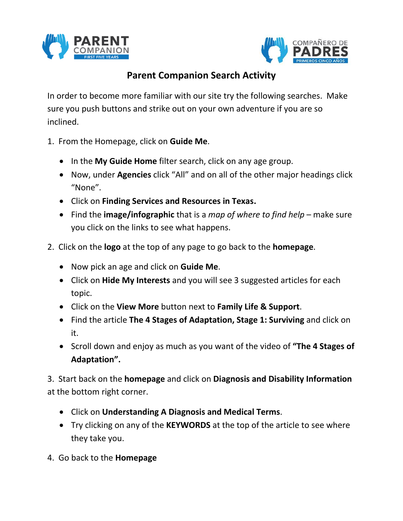



## **Parent Companion Search Activity**

In order to become more familiar with our site try the following searches. Make sure you push buttons and strike out on your own adventure if you are so inclined.

- 1. From the Homepage, click on **Guide Me**.
	- In the **My Guide Home** filter search, click on any age group.
	- Now, under **Agencies** click "All" and on all of the other major headings click "None".
	- Click on **Finding Services and Resources in Texas.**
	- Find the **image/infographic** that is a *map of where to find help* make sure you click on the links to see what happens.
- 2. Click on the **logo** at the top of any page to go back to the **homepage**.
	- Now pick an age and click on **Guide Me**.
	- Click on **Hide My Interests** and you will see 3 suggested articles for each topic.
	- Click on the **View More** button next to **Family Life & Support**.
	- Find the article **The 4 Stages of Adaptation, Stage 1: Surviving** and click on it.
	- Scroll down and enjoy as much as you want of the video of **"The 4 Stages of Adaptation".**

3. Start back on the **homepage** and click on **Diagnosis and Disability Information** at the bottom right corner.

- Click on **Understanding A Diagnosis and Medical Terms**.
- Try clicking on any of the **KEYWORDS** at the top of the article to see where they take you.
- 4. Go back to the **Homepage**